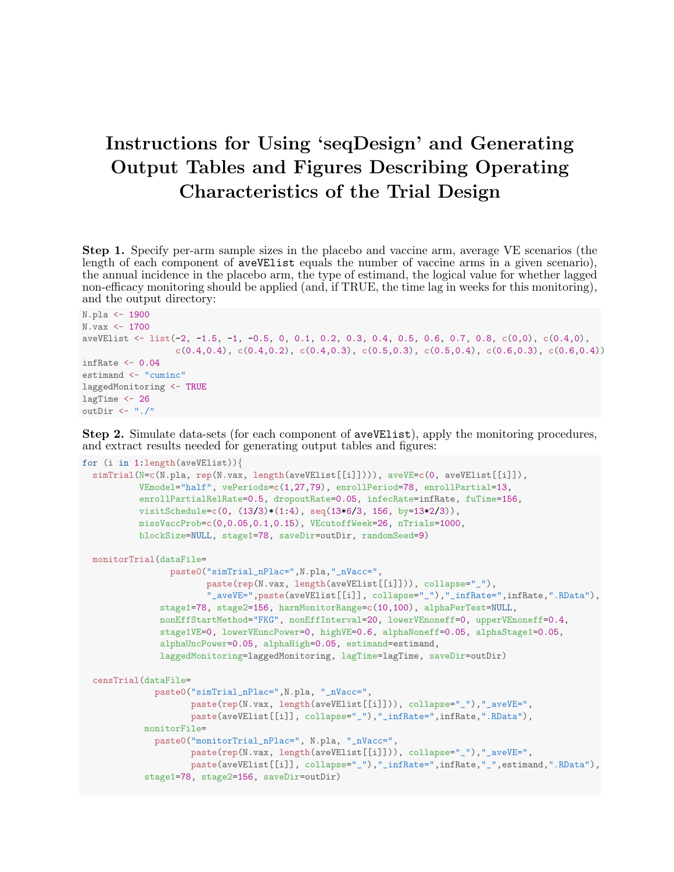## Instructions for Using 'seqDesign' and Generating Output Tables and Figures Describing Operating Characteristics of the Trial Design

Step 1. Specify per-arm sample sizes in the placebo and vaccine arm, average VE scenarios (the length of each component of aveVElist equals the number of vaccine arms in a given scenario), the annual incidence in the placebo arm, the type of estimand, the logical value for whether lagged non-efficacy monitoring should be applied (and, if TRUE, the time lag in weeks for this monitoring), and the output directory:

```
N.pla <- 1900
N.vax <- 1700
aveVElist <- list(-2, -1.5, -1, -0.5, 0, 0.1, 0.2, 0.3, 0.4, 0.5, 0.6, 0.7, 0.8, c(0,0), c(0.4,0),
                  c(0.4,0.4), c(0.4,0.2), c(0.4,0.3), c(0.5,0.3), c(0.5,0.4), c(0.6,0.3), c(0.6,0.4))infRate <-0.04estimand <- "cuminc"
laggedMonitoring <- TRUE
lagTime <- 26
outDir <- "./"
```
Step 2. Simulate data-sets (for each component of aveVElist), apply the monitoring procedures, and extract results needed for generating output tables and figures:

```
for (i in 1:length(aveVElist)){
  simTrial(N=c(N.pla, rep(N.vax, length(aveVElist[[i]]))), aveVE=c(0, aveVElist[[i]]),
           VEmodel="half", vePeriods=c(1,27,79), enrollPeriod=78, enrollPartial=13,
           enrollPartialRelRate=0.5, dropoutRate=0.05, infecRate=infRate, fuTime=156,
           visitSchedule=c(0, (13/3)*(1:4), seq(13*6/3, 156, by=13*2/3)),missVaccProb=c(0,0.05,0.1,0.15), VEcutoffWeek=26, nTrials=1000,
           blockSize=NULL, stage1=78, saveDir=outDir, randomSeed=9)
  monitorTrial(dataFile=
                paste0("simTrial_nPlac=",N.pla,"_nVacc=",
                       paste(rep(N.vax, length(aveVElist[[i]])), collapse="_"),
                        "_aveVE=",paste(aveVElist[[i]], collapse="_"),"_infRate=",infRate,".RData"),
               stage1=78, stage2=156, harmMonitorRange=c(10,100), alphaPerTest=NULL,
               nonEffStartMethod="FKG", nonEffInterval=20, lowerVEnoneff=0, upperVEnoneff=0.4,
               stage1VE=0, lowerVEuncPower=0, highVE=0.6, alphaNoneff=0.05, alphaStage1=0.05,
               alphaUncPower=0.05, alphaHigh=0.05, estimand=estimand,
               laggedMonitoring=laggedMonitoring, lagTime=lagTime, saveDir=outDir)
  censTrial(dataFile=
              paste0("simTrial_nPlac=",N.pla, "_nVacc=",
                     paste(rep(N.vax, length(aveVElist[[i]])), collapse="_"),"_aveVE=",
                     paste(aveVElist[[i]], collapse="_"),"_infRate=",infRate,".RData"),
            monitorFile=
              paste0("monitorTrial_nPlac=", N.pla, "_nVacc=",
                     paste(rep(N.vax, length(aveVElist[[i]])), collapse="_"),"_aveVE=",
                    paste(aveVElist[[i]], collapse="_"),"_infRate=",infRate,"_",estimand,".RData"),
            stage1=78, stage2=156, saveDir=outDir)
```